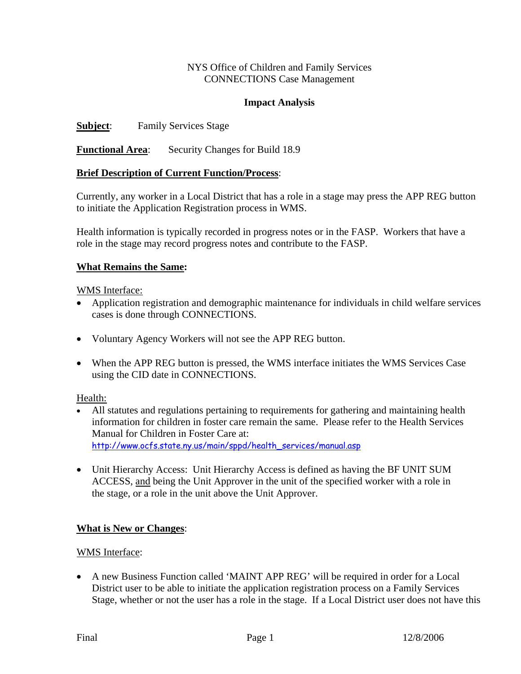#### NYS Office of Children and Family Services CONNECTIONS Case Management

#### **Impact Analysis**

**Subject:** Family Services Stage

**Functional Area**: Security Changes for Build 18.9

## **Brief Description of Current Function/Process**:

Currently, any worker in a Local District that has a role in a stage may press the APP REG button to initiate the Application Registration process in WMS.

Health information is typically recorded in progress notes or in the FASP. Workers that have a role in the stage may record progress notes and contribute to the FASP.

#### **What Remains the Same:**

WMS Interface:

- Application registration and demographic maintenance for individuals in child welfare services cases is done through CONNECTIONS.
- Voluntary Agency Workers will not see the APP REG button.
- When the APP REG button is pressed, the WMS interface initiates the WMS Services Case using the CID date in CONNECTIONS.

Health:

- All statutes and regulations pertaining to requirements for gathering and maintaining health information for children in foster care remain the same. Please refer to the Health Services Manual for Children in Foster Care at: [http://www.ocfs.state.ny.us/main/sppd/health\\_services/manual.asp](http://www.ocfs.state.ny.us/main/sppd/health_services/manual.asp)
- Unit Hierarchy Access: Unit Hierarchy Access is defined as having the BF UNIT SUM ACCESS, and being the Unit Approver in the unit of the specified worker with a role in the stage, or a role in the unit above the Unit Approver.

## **What is New or Changes**:

#### WMS Interface:

• A new Business Function called 'MAINT APP REG' will be required in order for a Local District user to be able to initiate the application registration process on a Family Services Stage, whether or not the user has a role in the stage. If a Local District user does not have this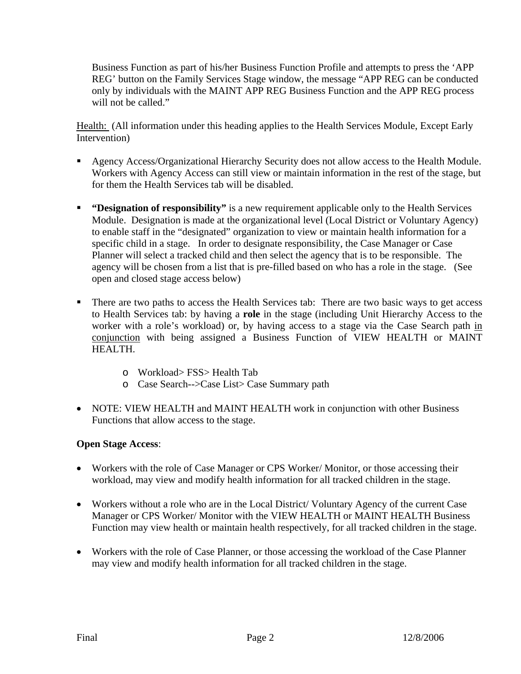Business Function as part of his/her Business Function Profile and attempts to press the 'APP REG' button on the Family Services Stage window, the message "APP REG can be conducted only by individuals with the MAINT APP REG Business Function and the APP REG process will not be called."

Health: (All information under this heading applies to the Health Services Module, Except Early Intervention)

- Agency Access/Organizational Hierarchy Security does not allow access to the Health Module. Workers with Agency Access can still view or maintain information in the rest of the stage, but for them the Health Services tab will be disabled.
- **"Designation of responsibility"** is a new requirement applicable only to the Health Services Module. Designation is made at the organizational level (Local District or Voluntary Agency) to enable staff in the "designated" organization to view or maintain health information for a specific child in a stage. In order to designate responsibility, the Case Manager or Case Planner will select a tracked child and then select the agency that is to be responsible. The agency will be chosen from a list that is pre-filled based on who has a role in the stage. (See open and closed stage access below)
- There are two paths to access the Health Services tab: There are two basic ways to get access to Health Services tab: by having a **role** in the stage (including Unit Hierarchy Access to the worker with a role's workload) or, by having access to a stage via the Case Search path in conjunction with being assigned a Business Function of VIEW HEALTH or MAINT HEALTH.
	- o Workload> FSS> Health Tab
	- o Case Search-->Case List> Case Summary path
- NOTE: VIEW HEALTH and MAINT HEALTH work in conjunction with other Business Functions that allow access to the stage.

## **Open Stage Access**:

- Workers with the role of Case Manager or CPS Worker/Monitor, or those accessing their workload, may view and modify health information for all tracked children in the stage.
- Workers without a role who are in the Local District/ Voluntary Agency of the current Case Manager or CPS Worker/ Monitor with the VIEW HEALTH or MAINT HEALTH Business Function may view health or maintain health respectively, for all tracked children in the stage.
- Workers with the role of Case Planner, or those accessing the workload of the Case Planner may view and modify health information for all tracked children in the stage.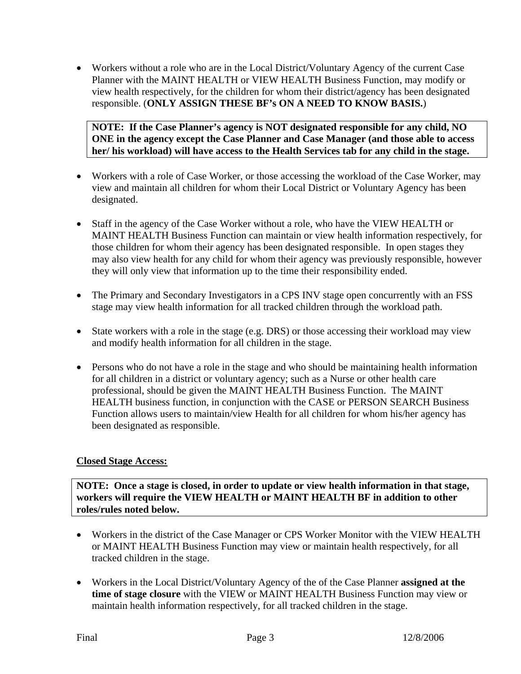• Workers without a role who are in the Local District/Voluntary Agency of the current Case Planner with the MAINT HEALTH or VIEW HEALTH Business Function, may modify or view health respectively, for the children for whom their district/agency has been designated responsible. (**ONLY ASSIGN THESE BF's ON A NEED TO KNOW BASIS.**)

## **NOTE: If the Case Planner's agency is NOT designated responsible for any child, NO ONE in the agency except the Case Planner and Case Manager (and those able to access her/ his workload) will have access to the Health Services tab for any child in the stage.**

- Workers with a role of Case Worker, or those accessing the workload of the Case Worker, may view and maintain all children for whom their Local District or Voluntary Agency has been designated.
- Staff in the agency of the Case Worker without a role, who have the VIEW HEALTH or MAINT HEALTH Business Function can maintain or view health information respectively, for those children for whom their agency has been designated responsible. In open stages they may also view health for any child for whom their agency was previously responsible, however they will only view that information up to the time their responsibility ended.
- The Primary and Secondary Investigators in a CPS INV stage open concurrently with an FSS stage may view health information for all tracked children through the workload path.
- State workers with a role in the stage (e.g. DRS) or those accessing their workload may view and modify health information for all children in the stage.
- Persons who do not have a role in the stage and who should be maintaining health information for all children in a district or voluntary agency; such as a Nurse or other health care professional, should be given the MAINT HEALTH Business Function. The MAINT HEALTH business function, in conjunction with the CASE or PERSON SEARCH Business Function allows users to maintain/view Health for all children for whom his/her agency has been designated as responsible.

# **Closed Stage Access:**

**NOTE: Once a stage is closed, in order to update or view health information in that stage, workers will require the VIEW HEALTH or MAINT HEALTH BF in addition to other roles/rules noted below.** 

- Workers in the district of the Case Manager or CPS Worker Monitor with the VIEW HEALTH or MAINT HEALTH Business Function may view or maintain health respectively, for all tracked children in the stage.
- Workers in the Local District/Voluntary Agency of the of the Case Planner **assigned at the time of stage closure** with the VIEW or MAINT HEALTH Business Function may view or maintain health information respectively, for all tracked children in the stage.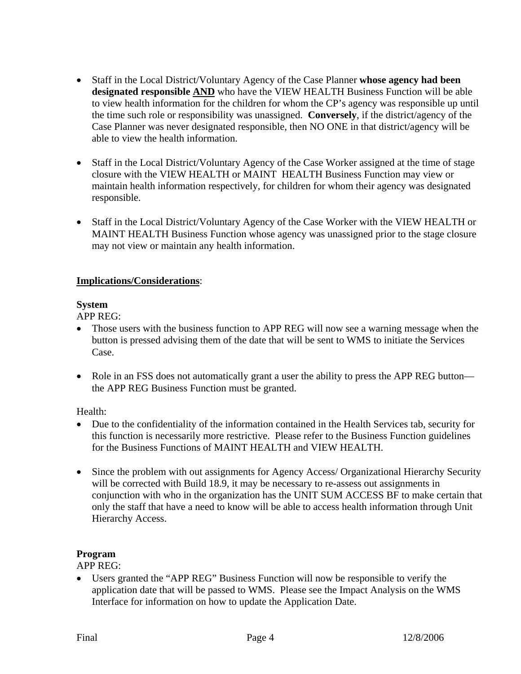- Staff in the Local District/Voluntary Agency of the Case Planner **whose agency had been designated responsible AND** who have the VIEW HEALTH Business Function will be able to view health information for the children for whom the CP's agency was responsible up until the time such role or responsibility was unassigned. **Conversely**, if the district/agency of the Case Planner was never designated responsible, then NO ONE in that district/agency will be able to view the health information.
- Staff in the Local District/Voluntary Agency of the Case Worker assigned at the time of stage closure with the VIEW HEALTH or MAINT HEALTH Business Function may view or maintain health information respectively, for children for whom their agency was designated responsible.
- Staff in the Local District/Voluntary Agency of the Case Worker with the VIEW HEALTH or MAINT HEALTH Business Function whose agency was unassigned prior to the stage closure may not view or maintain any health information.

## **Implications/Considerations**:

## **System**

APP REG:

- Those users with the business function to APP REG will now see a warning message when the button is pressed advising them of the date that will be sent to WMS to initiate the Services Case.
- Role in an FSS does not automatically grant a user the ability to press the APP REG button the APP REG Business Function must be granted.

Health:

- Due to the confidentiality of the information contained in the Health Services tab, security for this function is necessarily more restrictive. Please refer to the Business Function guidelines for the Business Functions of MAINT HEALTH and VIEW HEALTH.
- Since the problem with out assignments for Agency Access/ Organizational Hierarchy Security will be corrected with Build 18.9, it may be necessary to re-assess out assignments in conjunction with who in the organization has the UNIT SUM ACCESS BF to make certain that only the staff that have a need to know will be able to access health information through Unit Hierarchy Access.

# **Program**

APP REG:

• Users granted the "APP REG" Business Function will now be responsible to verify the application date that will be passed to WMS. Please see the Impact Analysis on the WMS Interface for information on how to update the Application Date.